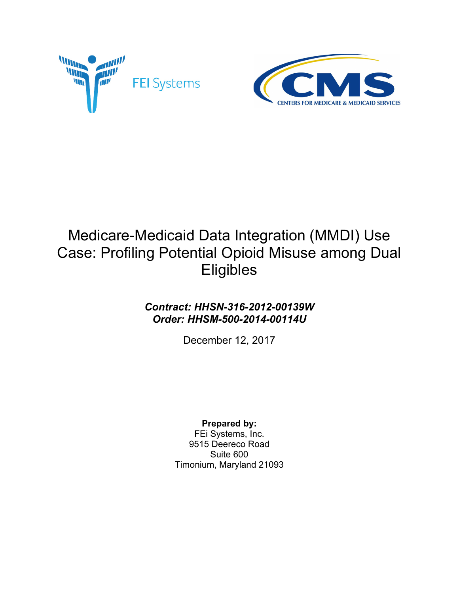



# Medicare-Medicaid Data Integration (MMDI) Use Case: Profiling Potential Opioid Misuse among Dual **Eligibles**

### *Contract: HHSN-316-2012-00139W Order: HHSM-500-2014-00114U*

December 12, 2017

#### **Prepared by:**

FEi Systems, Inc. 9515 Deereco Road Suite 600 Timonium, Maryland 21093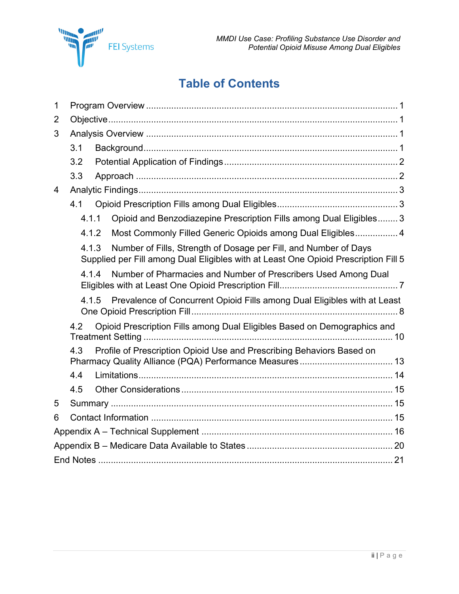# **Table of Contents**

| 1 |       |                                                                                                                                                         |  |  |
|---|-------|---------------------------------------------------------------------------------------------------------------------------------------------------------|--|--|
| 2 |       |                                                                                                                                                         |  |  |
| 3 |       |                                                                                                                                                         |  |  |
|   | 3.1   |                                                                                                                                                         |  |  |
|   | 3.2   |                                                                                                                                                         |  |  |
|   | 3.3   |                                                                                                                                                         |  |  |
| 4 |       |                                                                                                                                                         |  |  |
|   | 4.1   |                                                                                                                                                         |  |  |
|   | 4.1.1 | Opioid and Benzodiazepine Prescription Fills among Dual Eligibles 3                                                                                     |  |  |
|   | 4.1.2 | Most Commonly Filled Generic Opioids among Dual Eligibles 4                                                                                             |  |  |
|   | 4.1.3 | Number of Fills, Strength of Dosage per Fill, and Number of Days<br>Supplied per Fill among Dual Eligibles with at Least One Opioid Prescription Fill 5 |  |  |
|   | 4.1.4 | Number of Pharmacies and Number of Prescribers Used Among Dual                                                                                          |  |  |
|   |       | 4.1.5 Prevalence of Concurrent Opioid Fills among Dual Eligibles with at Least                                                                          |  |  |
|   | 4.2   | Opioid Prescription Fills among Dual Eligibles Based on Demographics and                                                                                |  |  |
|   | 4.3   | Profile of Prescription Opioid Use and Prescribing Behaviors Based on                                                                                   |  |  |
|   | 4.4   |                                                                                                                                                         |  |  |
|   | 4.5   |                                                                                                                                                         |  |  |
| 5 |       |                                                                                                                                                         |  |  |
| 6 |       |                                                                                                                                                         |  |  |
|   |       |                                                                                                                                                         |  |  |
|   |       |                                                                                                                                                         |  |  |
|   |       |                                                                                                                                                         |  |  |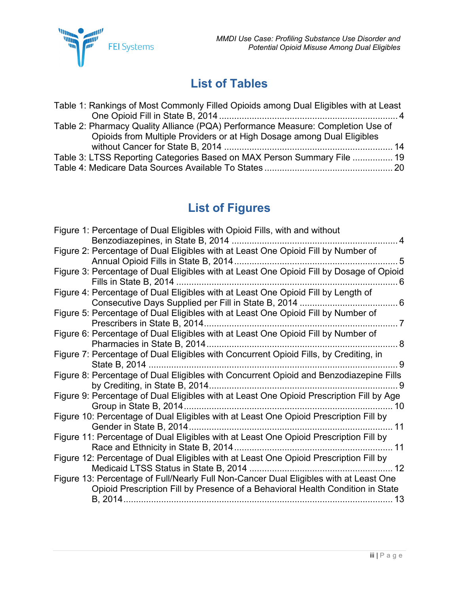# **List of Tables**

| Table 1: Rankings of Most Commonly Filled Opioids among Dual Eligibles with at Least |  |
|--------------------------------------------------------------------------------------|--|
|                                                                                      |  |
| Table 2: Pharmacy Quality Alliance (PQA) Performance Measure: Completion Use of      |  |
| Opioids from Multiple Providers or at High Dosage among Dual Eligibles               |  |
|                                                                                      |  |
| Table 3: LTSS Reporting Categories Based on MAX Person Summary File  19              |  |
|                                                                                      |  |

# **List of Figures**

| Figure 1: Percentage of Dual Eligibles with Opioid Fills, with and without               |
|------------------------------------------------------------------------------------------|
| Benzodiazepines, in State B, 2014<br>4                                                   |
| Figure 2: Percentage of Dual Eligibles with at Least One Opioid Fill by Number of        |
| $\overline{5}$                                                                           |
| Figure 3: Percentage of Dual Eligibles with at Least One Opioid Fill by Dosage of Opioid |
| Fills in State B, 2014<br>. 6                                                            |
| Figure 4: Percentage of Dual Eligibles with at Least One Opioid Fill by Length of        |
| Consecutive Days Supplied per Fill in State B, 2014<br>. 6                               |
| Figure 5: Percentage of Dual Eligibles with at Least One Opioid Fill by Number of        |
| Prescribers in State B, 2014.<br>-7                                                      |
| Figure 6: Percentage of Dual Eligibles with at Least One Opioid Fill by Number of        |
| - 8                                                                                      |
| Figure 7: Percentage of Dual Eligibles with Concurrent Opioid Fills, by Crediting, in    |
| State B, 2014<br>- 9                                                                     |
| Figure 8: Percentage of Dual Eligibles with Concurrent Opioid and Benzodiazepine Fills   |
| . 9                                                                                      |
| Figure 9: Percentage of Dual Eligibles with at Least One Opioid Prescription Fill by Age |
| …… 10                                                                                    |
| Figure 10: Percentage of Dual Eligibles with at Least One Opioid Prescription Fill by    |
|                                                                                          |
| Figure 11: Percentage of Dual Eligibles with at Least One Opioid Prescription Fill by    |
|                                                                                          |
| Figure 12: Percentage of Dual Eligibles with at Least One Opioid Prescription Fill by    |
|                                                                                          |
| Figure 13: Percentage of Full/Nearly Full Non-Cancer Dual Eligibles with at Least One    |
| Opioid Prescription Fill by Presence of a Behavioral Health Condition in State           |
|                                                                                          |
| 13                                                                                       |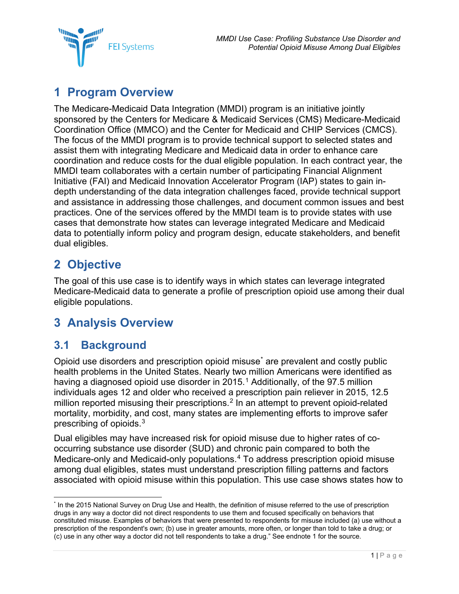*MMDI Use Case: Profiling Substance Use Disorder and Potential Opioid Misuse Among Dual Eligibles*



## <span id="page-3-0"></span>**1 Program Overview**

The Medicare-Medicaid Data Integration (MMDI) program is an initiative jointly sponsored by the Centers for Medicare & Medicaid Services (CMS) Medicare-Medicaid Coordination Office (MMCO) and the Center for Medicaid and CHIP Services (CMCS). The focus of the MMDI program is to provide technical support to selected states and assist them with integrating Medicare and Medicaid data in order to enhance care coordination and reduce costs for the dual eligible population. In each contract year, the MMDI team collaborates with a certain number of participating Financial Alignment Initiative (FAI) and Medicaid Innovation Accelerator Program (IAP) states to gain indepth understanding of the data integration challenges faced, provide technical support and assistance in addressing those challenges, and document common issues and best practices. One of the services offered by the MMDI team is to provide states with use cases that demonstrate how states can leverage integrated Medicare and Medicaid data to potentially inform policy and program design, educate stakeholders, and benefit dual eligibles.

## <span id="page-3-1"></span>**2 Objective**

The goal of this use case is to identify ways in which states can leverage integrated Medicare-Medicaid data to generate a profile of prescription opioid use among their dual eligible populations.

## <span id="page-3-2"></span>**3 Analysis Overview**

### <span id="page-3-3"></span>**3.1 Background**

Opioid use disorders and prescription opioid misuse[\\*](#page-3-4) are prevalent and costly public health problems in the United States. Nearly two million Americans were identified as having a diagnosed opioid use disorder in  $2015<sup>1</sup>$  $2015<sup>1</sup>$  $2015<sup>1</sup>$  Additionally, of the 97.5 million individuals ages 12 and older who received a prescription pain reliever in 2015, 12.5 million reported misusing their prescriptions.<sup>[2](#page-23-2)</sup> In an attempt to prevent opioid-related mortality, morbidity, and cost, many states are implementing efforts to improve safer prescribing of opioids.[3](#page-23-3)

Dual eligibles may have increased risk for opioid misuse due to higher rates of cooccurring substance use disorder (SUD) and chronic pain compared to both the Medicare-only and Medicaid-only populations.[4](#page-23-4) To address prescription opioid misuse among dual eligibles, states must understand prescription filling patterns and factors associated with opioid misuse within this population. This use case shows states how to

<span id="page-3-4"></span> <sup>\*</sup> In the 2015 National Survey on Drug Use and Health, the definition of misuse referred to the use of prescription drugs in any way a doctor did not direct respondents to use them and focused specifically on behaviors that constituted misuse. Examples of behaviors that were presented to respondents for misuse included (a) use without a prescription of the respondent's own; (b) use in greater amounts, more often, or longer than told to take a drug; or (c) use in any other way a doctor did not tell respondents to take a drug." See endnote 1 for the source.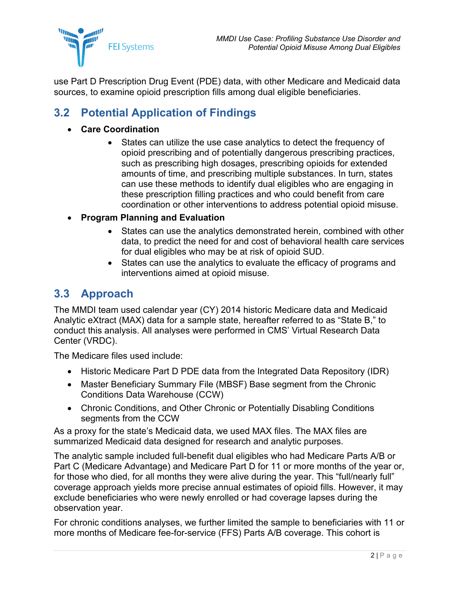

use Part D Prescription Drug Event (PDE) data, with other Medicare and Medicaid data sources, to examine opioid prescription fills among dual eligible beneficiaries.

### <span id="page-4-0"></span>**3.2 Potential Application of Findings**

- **Care Coordination**
	- States can utilize the use case analytics to detect the frequency of opioid prescribing and of potentially dangerous prescribing practices, such as prescribing high dosages, prescribing opioids for extended amounts of time, and prescribing multiple substances. In turn, states can use these methods to identify dual eligibles who are engaging in these prescription filling practices and who could benefit from care coordination or other interventions to address potential opioid misuse.
- **Program Planning and Evaluation**
	- States can use the analytics demonstrated herein, combined with other data, to predict the need for and cost of behavioral health care services for dual eligibles who may be at risk of opioid SUD.
	- States can use the analytics to evaluate the efficacy of programs and interventions aimed at opioid misuse.

#### <span id="page-4-1"></span>**3.3 Approach**

The MMDI team used calendar year (CY) 2014 historic Medicare data and Medicaid Analytic eXtract (MAX) data for a sample state, hereafter referred to as "State B," to conduct this analysis. All analyses were performed in CMS' Virtual Research Data Center (VRDC).

The Medicare files used include:

- Historic Medicare Part D PDE data from the Integrated Data Repository (IDR)
- Master Beneficiary Summary File (MBSF) Base segment from the Chronic Conditions Data Warehouse (CCW)
- Chronic Conditions, and Other Chronic or Potentially Disabling Conditions segments from the CCW

As a proxy for the state's Medicaid data, we used MAX files. The MAX files are summarized Medicaid data designed for research and analytic purposes.

The analytic sample included full-benefit dual eligibles who had Medicare Parts A/B or Part C (Medicare Advantage) and Medicare Part D for 11 or more months of the year or, for those who died, for all months they were alive during the year. This "full/nearly full" coverage approach yields more precise annual estimates of opioid fills. However, it may exclude beneficiaries who were newly enrolled or had coverage lapses during the observation year.

For chronic conditions analyses, we further limited the sample to beneficiaries with 11 or more months of Medicare fee-for-service (FFS) Parts A/B coverage. This cohort is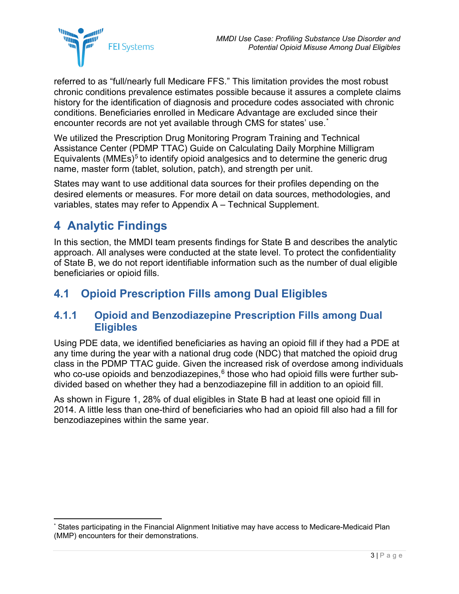

referred to as "full/nearly full Medicare FFS." This limitation provides the most robust chronic conditions prevalence estimates possible because it assures a complete claims history for the identification of diagnosis and procedure codes associated with chronic conditions. Beneficiaries enrolled in Medicare Advantage are excluded since their encounter records are not yet available through CMS for states' use.[\\*](#page-5-3)

We utilized the Prescription Drug Monitoring Program Training and Technical Assistance Center (PDMP TTAC) Guide on Calculating Daily Morphine Milligram Equivalents (MMEs)<sup>[5](#page-23-5)</sup> to identify opioid analgesics and to determine the generic drug name, master form (tablet, solution, patch), and strength per unit.

States may want to use additional data sources for their profiles depending on the desired elements or measures. For more detail on data sources, methodologies, and variables, states may refer to Appendix A – [Technical Supplement.](#page-18-0)

## <span id="page-5-0"></span>**4 Analytic Findings**

In this section, the MMDI team presents findings for State B and describes the analytic approach. All analyses were conducted at the state level. To protect the confidentiality of State B, we do not report identifiable information such as the number of dual eligible beneficiaries or opioid fills.

### <span id="page-5-1"></span>**4.1 Opioid Prescription Fills among Dual Eligibles**

#### <span id="page-5-2"></span>**4.1.1 Opioid and Benzodiazepine Prescription Fills among Dual Eligibles**

Using PDE data, we identified beneficiaries as having an opioid fill if they had a PDE at any time during the year with a national drug code (NDC) that matched the opioid drug class in the PDMP TTAC guide. Given the increased risk of overdose among individuals who co-use opioids and benzodiazepines,<sup>[6](#page-23-6)</sup> those who had opioid fills were further subdivided based on whether they had a benzodiazepine fill in addition to an opioid fill.

As shown in [Figure 1,](#page-6-2) 28% of dual eligibles in State B had at least one opioid fill in 2014. A little less than one-third of beneficiaries who had an opioid fill also had a fill for benzodiazepines within the same year.

<span id="page-5-3"></span>States participating in the Financial Alignment Initiative may have access to Medicare-Medicaid Plan (MMP) encounters for their demonstrations.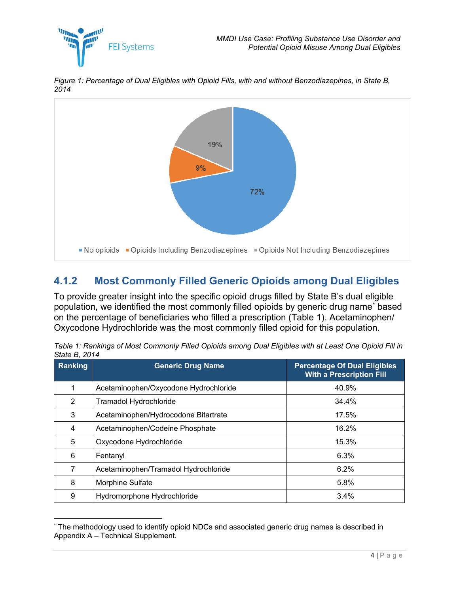<span id="page-6-2"></span>*Figure 1: Percentage of Dual Eligibles with Opioid Fills, with and without Benzodiazepines, in State B, 2014*



### <span id="page-6-0"></span>**4.1.2 Most Commonly Filled Generic Opioids among Dual Eligibles**

To provide greater insight into the specific opioid drugs filled by State B's dual eligible population, we identified the most commonly filled opioids by generic drug name[\\*](#page-6-3) based on the percentage of beneficiaries who filled a prescription [\(Table 1\)](#page-6-1). Acetaminophen/ Oxycodone Hydrochloride was the most commonly filled opioid for this population.

| Ranking | <b>Generic Drug Name</b>              | <b>Percentage Of Dual Eligibles</b><br><b>With a Prescription Fill</b> |
|---------|---------------------------------------|------------------------------------------------------------------------|
| 1       | Acetaminophen/Oxycodone Hydrochloride | 40.9%                                                                  |
| 2       | Tramadol Hydrochloride                | 34.4%                                                                  |
| 3       | Acetaminophen/Hydrocodone Bitartrate  | 17.5%                                                                  |
| 4       | Acetaminophen/Codeine Phosphate       | 16.2%                                                                  |
| 5       | Oxycodone Hydrochloride               | 15.3%                                                                  |
| 6       | Fentanyl                              | 6.3%                                                                   |
| 7       | Acetaminophen/Tramadol Hydrochloride  | 6.2%                                                                   |
| 8       | Morphine Sulfate                      | 5.8%                                                                   |
| 9       | Hydromorphone Hydrochloride           | 3.4%                                                                   |

<span id="page-6-1"></span>*Table 1: Rankings of Most Commonly Filled Opioids among Dual Eligibles with at Least One Opioid Fill in State B, 2014*

<span id="page-6-3"></span> <sup>\*</sup> The methodology used to identify opioid NDCs and associated generic drug names is described in Appendix A – [Technical Supplement.](#page-18-0)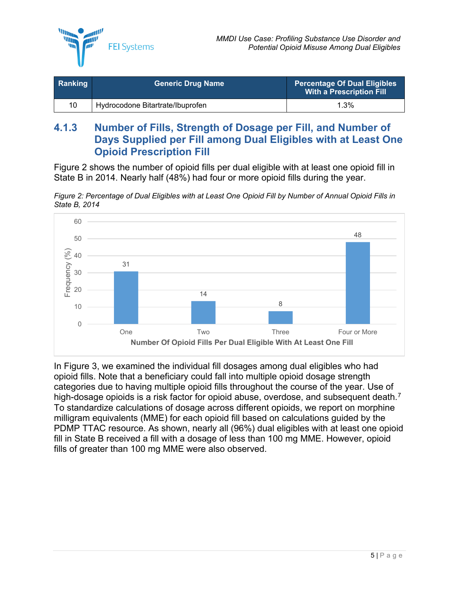

| <b>Ranking</b> | <b>Generic Drug Name</b>         | <b>Percentage Of Dual Eligibles</b><br>With a Prescription Fill |
|----------------|----------------------------------|-----------------------------------------------------------------|
| 10             | Hydrocodone Bitartrate/Ibuprofen | $1.3\%$                                                         |

#### <span id="page-7-0"></span>**4.1.3 Number of Fills, Strength of Dosage per Fill, and Number of Days Supplied per Fill among Dual Eligibles with at Least One Opioid Prescription Fill**

[Figure 2](#page-7-1) shows the number of opioid fills per dual eligible with at least one opioid fill in State B in 2014. Nearly half (48%) had four or more opioid fills during the year.

<span id="page-7-1"></span>*Figure 2: Percentage of Dual Eligibles with at Least One Opioid Fill by Number of Annual Opioid Fills in State B, 2014*



In [Figure 3,](#page-8-0) we examined the individual fill dosages among dual eligibles who had opioid fills. Note that a beneficiary could fall into multiple opioid dosage strength categories due to having multiple opioid fills throughout the course of the year. Use of high-dosage opioids is a risk factor for opioid abuse, overdose, and subsequent death.<sup>[7](#page-23-7)</sup> To standardize calculations of dosage across different opioids, we report on morphine milligram equivalents (MME) for each opioid fill based on calculations guided by the PDMP TTAC resource. As shown, nearly all (96%) dual eligibles with at least one opioid fill in State B received a fill with a dosage of less than 100 mg MME. However, opioid fills of greater than 100 mg MME were also observed.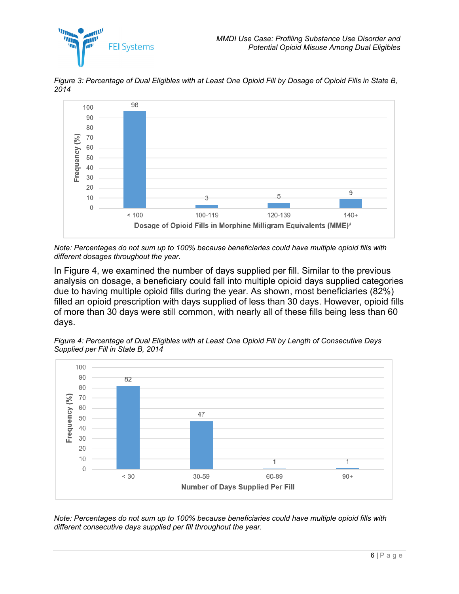*<u>Illum</u>* 



<span id="page-8-0"></span>*Figure 3: Percentage of Dual Eligibles with at Least One Opioid Fill by Dosage of Opioid Fills in State B, 2014*

*Note: Percentages do not sum up to 100% because beneficiaries could have multiple opioid fills with different dosages throughout the year.*

In [Figure 4,](#page-8-1) we examined the number of days supplied per fill. Similar to the previous analysis on dosage, a beneficiary could fall into multiple opioid days supplied categories due to having multiple opioid fills during the year. As shown, most beneficiaries (82%) filled an opioid prescription with days supplied of less than 30 days. However, opioid fills of more than 30 days were still common, with nearly all of these fills being less than 60 days.

<span id="page-8-1"></span>*Figure 4: Percentage of Dual Eligibles with at Least One Opioid Fill by Length of Consecutive Days Supplied per Fill in State B, 2014*



*Note: Percentages do not sum up to 100% because beneficiaries could have multiple opioid fills with different consecutive days supplied per fill throughout the year.*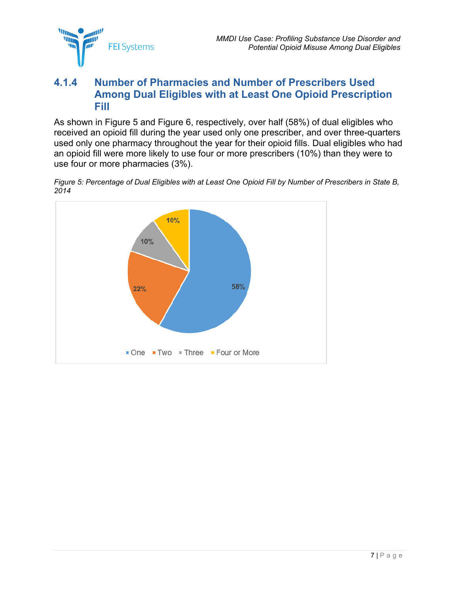

#### <span id="page-9-0"></span>**4.1.4 Number of Pharmacies and Number of Prescribers Used Among Dual Eligibles with at Least One Opioid Prescription Fill**

As shown in [Figure 5](#page-9-1) and [Figure 6,](#page-10-1) respectively, over half (58%) of dual eligibles who received an opioid fill during the year used only one prescriber, and over three-quarters used only one pharmacy throughout the year for their opioid fills. Dual eligibles who had an opioid fill were more likely to use four or more prescribers (10%) than they were to use four or more pharmacies (3%).

<span id="page-9-1"></span>*Figure 5: Percentage of Dual Eligibles with at Least One Opioid Fill by Number of Prescribers in State B, 2014*

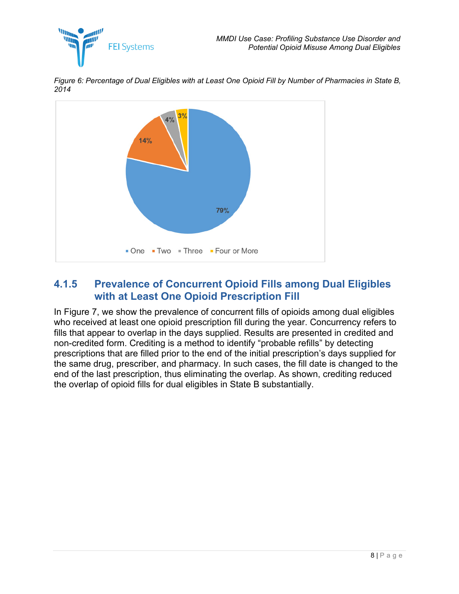

<span id="page-10-1"></span>*Figure 6: Percentage of Dual Eligibles with at Least One Opioid Fill by Number of Pharmacies in State B, 2014*



#### <span id="page-10-0"></span>**4.1.5 Prevalence of Concurrent Opioid Fills among Dual Eligibles with at Least One Opioid Prescription Fill**

In [Figure 7,](#page-11-0) we show the prevalence of concurrent fills of opioids among dual eligibles who received at least one opioid prescription fill during the year. Concurrency refers to fills that appear to overlap in the days supplied. Results are presented in credited and non-credited form. Crediting is a method to identify "probable refills" by detecting prescriptions that are filled prior to the end of the initial prescription's days supplied for the same drug, prescriber, and pharmacy. In such cases, the fill date is changed to the end of the last prescription, thus eliminating the overlap. As shown, crediting reduced the overlap of opioid fills for dual eligibles in State B substantially.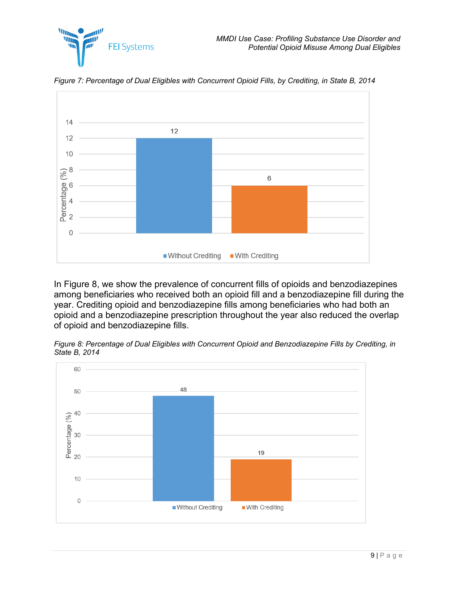

<span id="page-11-0"></span>*Figure 7: Percentage of Dual Eligibles with Concurrent Opioid Fills, by Crediting, in State B, 2014*

*MARKET* Wij

**FEI Systems** 

In [Figure 8,](#page-11-1) we show the prevalence of concurrent fills of opioids and benzodiazepines among beneficiaries who received both an opioid fill and a benzodiazepine fill during the year. Crediting opioid and benzodiazepine fills among beneficiaries who had both an opioid and a benzodiazepine prescription throughout the year also reduced the overlap of opioid and benzodiazepine fills.

<span id="page-11-1"></span>

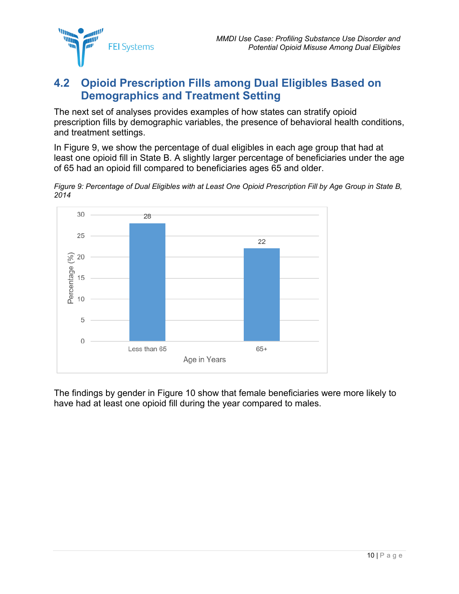

### <span id="page-12-0"></span>**4.2 Opioid Prescription Fills among Dual Eligibles Based on Demographics and Treatment Setting**

The next set of analyses provides examples of how states can stratify opioid prescription fills by demographic variables, the presence of behavioral health conditions, and treatment settings.

In [Figure 9,](#page-12-1) we show the percentage of dual eligibles in each age group that had at least one opioid fill in State B. A slightly larger percentage of beneficiaries under the age of 65 had an opioid fill compared to beneficiaries ages 65 and older.

<span id="page-12-1"></span>*Figure 9: Percentage of Dual Eligibles with at Least One Opioid Prescription Fill by Age Group in State B, 2014* 



The findings by gender in [Figure 10](#page-13-0) show that female beneficiaries were more likely to have had at least one opioid fill during the year compared to males.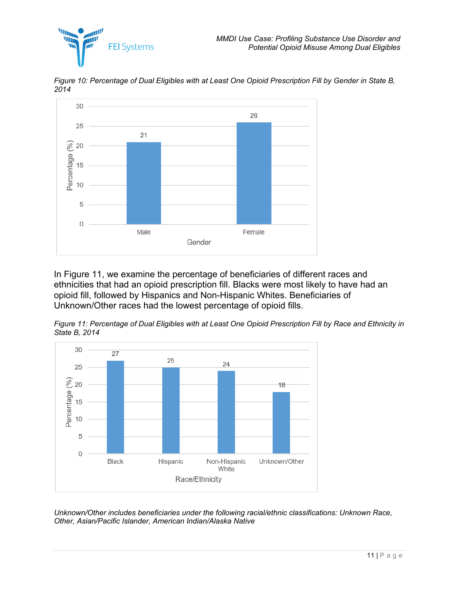



<span id="page-13-0"></span>*Figure 10: Percentage of Dual Eligibles with at Least One Opioid Prescription Fill by Gender in State B, 2014* 

In [Figure 11,](#page-13-1) we examine the percentage of beneficiaries of different races and ethnicities that had an opioid prescription fill. Blacks were most likely to have had an opioid fill, followed by Hispanics and Non-Hispanic Whites. Beneficiaries of Unknown/Other races had the lowest percentage of opioid fills.

<span id="page-13-1"></span>*Figure 11: Percentage of Dual Eligibles with at Least One Opioid Prescription Fill by Race and Ethnicity in State B, 2014*



*Unknown/Other includes beneficiaries under the following racial/ethnic classifications: Unknown Race, Other, Asian/Pacific Islander, American Indian/Alaska Native*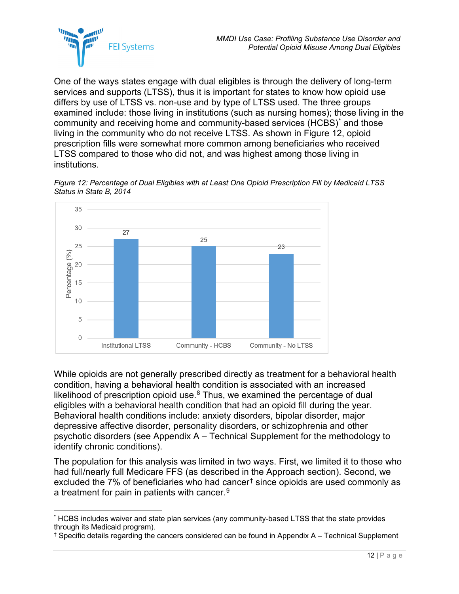

One of the ways states engage with dual eligibles is through the delivery of long-term services and supports (LTSS), thus it is important for states to know how opioid use differs by use of LTSS vs. non-use and by type of LTSS used. The three groups examined include: those living in institutions (such as nursing homes); those living in the community and receiving home and community-based services (HCBS)[\\*](#page-14-1) and those living in the community who do not receive LTSS. As shown in [Figure 12,](#page-14-0) opioid prescription fills were somewhat more common among beneficiaries who received LTSS compared to those who did not, and was highest among those living in institutions.

<span id="page-14-0"></span>



While opioids are not generally prescribed directly as treatment for a behavioral health condition, having a behavioral health condition is associated with an increased likelihood of prescription opioid use. $8$  Thus, we examined the percentage of dual eligibles with a behavioral health condition that had an opioid fill during the year. Behavioral health conditions include: anxiety disorders, bipolar disorder, major depressive affective disorder, personality disorders, or schizophrenia and other psychotic disorders (see Appendix A – [Technical Supplement](#page-18-0) for the methodology to identify chronic conditions).

The population for this analysis was limited in two ways. First, we limited it to those who had full/nearly full Medicare FFS (as described in the Approach section). Second, we excluded the 7% of beneficiaries who had cancer[†](#page-14-2) since opioids are used commonly as a treatment for pain in patients with cancer. $^9$  $^9$ 

<span id="page-14-1"></span> <sup>\*</sup> HCBS includes waiver and state plan services (any community-based LTSS that the state provides through its Medicaid program).

<span id="page-14-2"></span><sup>†</sup> Specific details regarding the cancers considered can be found in Appendix A – Technical Supplement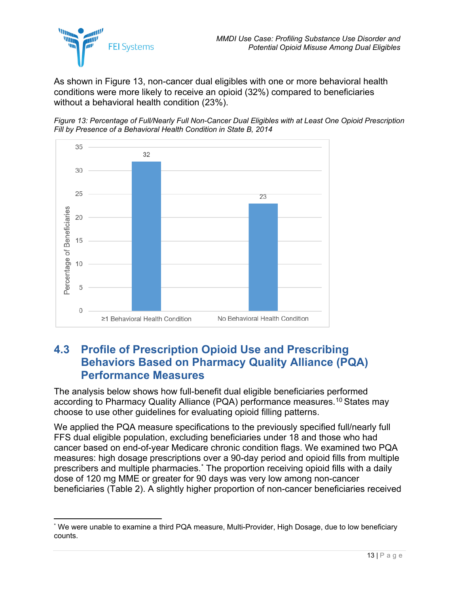

As shown in [Figure 13,](#page-15-1) non-cancer dual eligibles with one or more behavioral health conditions were more likely to receive an opioid (32%) compared to beneficiaries without a behavioral health condition (23%).

<span id="page-15-1"></span>*Figure 13: Percentage of Full/Nearly Full Non-Cancer Dual Eligibles with at Least One Opioid Prescription Fill by Presence of a Behavioral Health Condition in State B, 2014*



### <span id="page-15-0"></span>**4.3 Profile of Prescription Opioid Use and Prescribing Behaviors Based on Pharmacy Quality Alliance (PQA) Performance Measures**

The analysis below shows how full-benefit dual eligible beneficiaries performed according to Pharmacy Quality Alliance (PQA) performance measures. [10](#page-23-10) States may choose to use other guidelines for evaluating opioid filling patterns.

We applied the PQA measure specifications to the previously specified full/nearly full FFS dual eligible population, excluding beneficiaries under 18 and those who had cancer based on end-of-year Medicare chronic condition flags. We examined two PQA measures: high dosage prescriptions over a 90-day period and opioid fills from multiple prescribers and multiple pharmacies.[\\*](#page-15-2) The proportion receiving opioid fills with a daily dose of 120 mg MME or greater for 90 days was very low among non-cancer beneficiaries [\(Table 2\)](#page-16-1). A slightly higher proportion of non-cancer beneficiaries received

<span id="page-15-2"></span>We were unable to examine a third PQA measure, Multi-Provider, High Dosage, due to low beneficiary counts.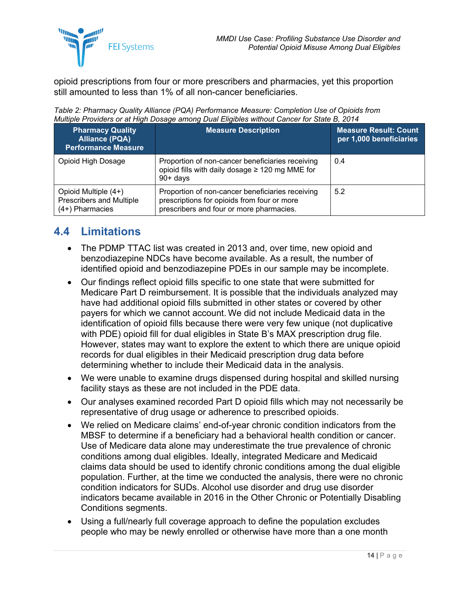

opioid prescriptions from four or more prescribers and pharmacies, yet this proportion still amounted to less than 1% of all non-cancer beneficiaries.

<span id="page-16-1"></span>

| Table 2: Pharmacy Quality Alliance (PQA) Performance Measure: Completion Use of Opioids from |  |
|----------------------------------------------------------------------------------------------|--|
| Multiple Providers or at High Dosage among Dual Eligibles without Cancer for State B, 2014   |  |

| <b>Pharmacy Quality</b><br><b>Alliance (PQA)</b><br><b>Performance Measure</b> | <b>Measure Description</b>                                                                                                                  | <b>Measure Result: Count</b><br>per 1,000 beneficiaries |
|--------------------------------------------------------------------------------|---------------------------------------------------------------------------------------------------------------------------------------------|---------------------------------------------------------|
| Opioid High Dosage                                                             | Proportion of non-cancer beneficiaries receiving<br>opioid fills with daily dosage ≥ 120 mg MME for<br>$90 + days$                          | 0.4                                                     |
| Opioid Multiple (4+)<br><b>Prescribers and Multiple</b><br>$(4+)$ Pharmacies   | Proportion of non-cancer beneficiaries receiving<br>prescriptions for opioids from four or more<br>prescribers and four or more pharmacies. | 5.2                                                     |

### <span id="page-16-0"></span>**4.4 Limitations**

- The PDMP TTAC list was created in 2013 and, over time, new opioid and benzodiazepine NDCs have become available. As a result, the number of identified opioid and benzodiazepine PDEs in our sample may be incomplete.
- Our findings reflect opioid fills specific to one state that were submitted for Medicare Part D reimbursement. It is possible that the individuals analyzed may have had additional opioid fills submitted in other states or covered by other payers for which we cannot account. We did not include Medicaid data in the identification of opioid fills because there were very few unique (not duplicative with PDE) opioid fill for dual eligibles in State B's MAX prescription drug file. However, states may want to explore the extent to which there are unique opioid records for dual eligibles in their Medicaid prescription drug data before determining whether to include their Medicaid data in the analysis.
- We were unable to examine drugs dispensed during hospital and skilled nursing facility stays as these are not included in the PDE data.
- Our analyses examined recorded Part D opioid fills which may not necessarily be representative of drug usage or adherence to prescribed opioids.
- We relied on Medicare claims' end-of-year chronic condition indicators from the MBSF to determine if a beneficiary had a behavioral health condition or cancer. Use of Medicare data alone may underestimate the true prevalence of chronic conditions among dual eligibles. Ideally, integrated Medicare and Medicaid claims data should be used to identify chronic conditions among the dual eligible population. Further, at the time we conducted the analysis, there were no chronic condition indicators for SUDs. Alcohol use disorder and drug use disorder indicators became available in 2016 in the Other Chronic or Potentially Disabling Conditions segments.
- Using a full/nearly full coverage approach to define the population excludes people who may be newly enrolled or otherwise have more than a one month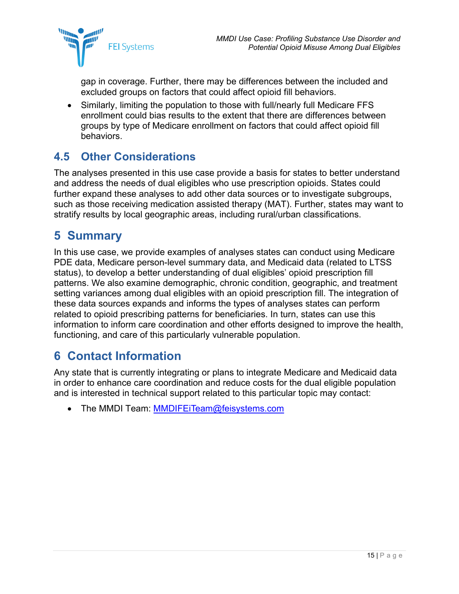

gap in coverage. Further, there may be differences between the included and excluded groups on factors that could affect opioid fill behaviors.

• Similarly, limiting the population to those with full/nearly full Medicare FFS enrollment could bias results to the extent that there are differences between groups by type of Medicare enrollment on factors that could affect opioid fill behaviors.

### <span id="page-17-0"></span>**4.5 Other Considerations**

The analyses presented in this use case provide a basis for states to better understand and address the needs of dual eligibles who use prescription opioids. States could further expand these analyses to add other data sources or to investigate subgroups, such as those receiving medication assisted therapy (MAT). Further, states may want to stratify results by local geographic areas, including rural/urban classifications.

## <span id="page-17-1"></span>**5 Summary**

In this use case, we provide examples of analyses states can conduct using Medicare PDE data, Medicare person-level summary data, and Medicaid data (related to LTSS status), to develop a better understanding of dual eligibles' opioid prescription fill patterns. We also examine demographic, chronic condition, geographic, and treatment setting variances among dual eligibles with an opioid prescription fill. The integration of these data sources expands and informs the types of analyses states can perform related to opioid prescribing patterns for beneficiaries. In turn, states can use this information to inform care coordination and other efforts designed to improve the health, functioning, and care of this particularly vulnerable population.

## <span id="page-17-2"></span>**6 Contact Information**

Any state that is currently integrating or plans to integrate Medicare and Medicaid data in order to enhance care coordination and reduce costs for the dual eligible population and is interested in technical support related to this particular topic may contact:

• The MMDI Team: [MMDIFEiTeam@feisystems.com](mailto:MMDIFEiTeam@feisystems.com)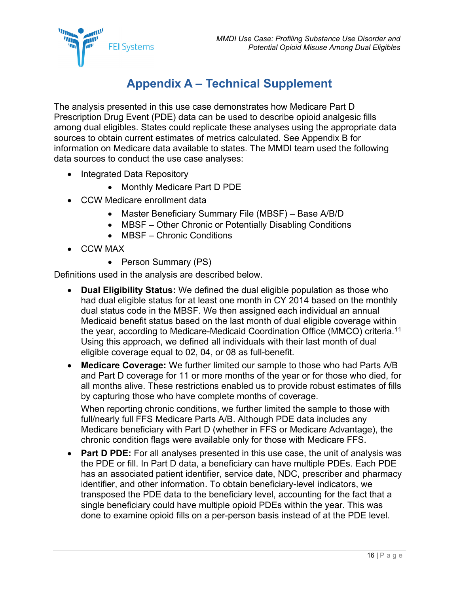

# **Appendix A – Technical Supplement**

<span id="page-18-0"></span>The analysis presented in this use case demonstrates how Medicare Part D Prescription Drug Event (PDE) data can be used to describe opioid analgesic fills among dual eligibles. States could replicate these analyses using the appropriate data sources to obtain current estimates of metrics calculated. See [Appendix B](#page-22-0) for information on Medicare data available to states. The MMDI team used the following data sources to conduct the use case analyses:

- Integrated Data Repository
	- Monthly Medicare Part D PDE
- CCW Medicare enrollment data
	- Master Beneficiary Summary File (MBSF) Base A/B/D
	- MBSF Other Chronic or Potentially Disabling Conditions
	- MBSF Chronic Conditions
- CCW MAX
	- Person Summary (PS)

Definitions used in the analysis are described below.

- **Dual Eligibility Status:** We defined the dual eligible population as those who had dual eligible status for at least one month in CY 2014 based on the monthly dual status code in the MBSF. We then assigned each individual an annual Medicaid benefit status based on the last month of dual eligible coverage within the year, according to Medicare-Medicaid Coordination Office (MMCO) criteria.[11](#page-23-11) Using this approach, we defined all individuals with their last month of dual eligible coverage equal to 02, 04, or 08 as full-benefit.
- **Medicare Coverage:** We further limited our sample to those who had Parts A/B and Part D coverage for 11 or more months of the year or for those who died, for all months alive. These restrictions enabled us to provide robust estimates of fills by capturing those who have complete months of coverage.

When reporting chronic conditions, we further limited the sample to those with full/nearly full FFS Medicare Parts A/B. Although PDE data includes any Medicare beneficiary with Part D (whether in FFS or Medicare Advantage), the chronic condition flags were available only for those with Medicare FFS.

• **Part D PDE:** For all analyses presented in this use case, the unit of analysis was the PDE or fill. In Part D data, a beneficiary can have multiple PDEs. Each PDE has an associated patient identifier, service date, NDC, prescriber and pharmacy identifier, and other information. To obtain beneficiary-level indicators, we transposed the PDE data to the beneficiary level, accounting for the fact that a single beneficiary could have multiple opioid PDEs within the year. This was done to examine opioid fills on a per-person basis instead of at the PDE level.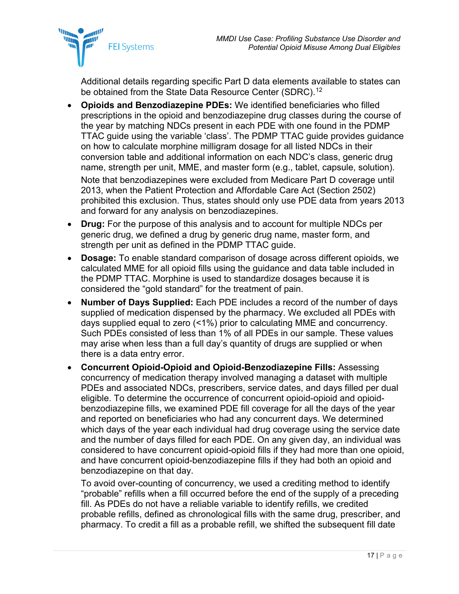

Additional details regarding specific Part D data elements available to states can be obtained from the State Data Resource Center (SDRC).<sup>[12](#page-23-12)</sup>

- **Opioids and Benzodiazepine PDEs:** We identified beneficiaries who filled prescriptions in the opioid and benzodiazepine drug classes during the course of the year by matching NDCs present in each PDE with one found in the PDMP TTAC guide using the variable 'class'. The PDMP TTAC guide provides guidance on how to calculate morphine milligram dosage for all listed NDCs in their conversion table and additional information on each NDC's class, generic drug name, strength per unit, MME, and master form (e.g., tablet, capsule, solution). Note that benzodiazepines were excluded from Medicare Part D coverage until 2013, when the Patient Protection and Affordable Care Act (Section 2502) prohibited this exclusion. Thus, states should only use PDE data from years 2013 and forward for any analysis on benzodiazepines.
- **Drug:** For the purpose of this analysis and to account for multiple NDCs per generic drug, we defined a drug by generic drug name, master form, and strength per unit as defined in the PDMP TTAC guide.
- **Dosage:** To enable standard comparison of dosage across different opioids, we calculated MME for all opioid fills using the guidance and data table included in the PDMP TTAC. Morphine is used to standardize dosages because it is considered the "gold standard" for the treatment of pain.
- **Number of Days Supplied:** Each PDE includes a record of the number of days supplied of medication dispensed by the pharmacy. We excluded all PDEs with days supplied equal to zero (<1%) prior to calculating MME and concurrency. Such PDEs consisted of less than 1% of all PDEs in our sample. These values may arise when less than a full day's quantity of drugs are supplied or when there is a data entry error.
- **Concurrent Opioid-Opioid and Opioid-Benzodiazepine Fills:** Assessing concurrency of medication therapy involved managing a dataset with multiple PDEs and associated NDCs, prescribers, service dates, and days filled per dual eligible. To determine the occurrence of concurrent opioid-opioid and opioidbenzodiazepine fills, we examined PDE fill coverage for all the days of the year and reported on beneficiaries who had any concurrent days. We determined which days of the year each individual had drug coverage using the service date and the number of days filled for each PDE. On any given day, an individual was considered to have concurrent opioid-opioid fills if they had more than one opioid, and have concurrent opioid-benzodiazepine fills if they had both an opioid and benzodiazepine on that day.

To avoid over-counting of concurrency, we used a crediting method to identify "probable" refills when a fill occurred before the end of the supply of a preceding fill. As PDEs do not have a reliable variable to identify refills, we credited probable refills, defined as chronological fills with the same drug, prescriber, and pharmacy. To credit a fill as a probable refill, we shifted the subsequent fill date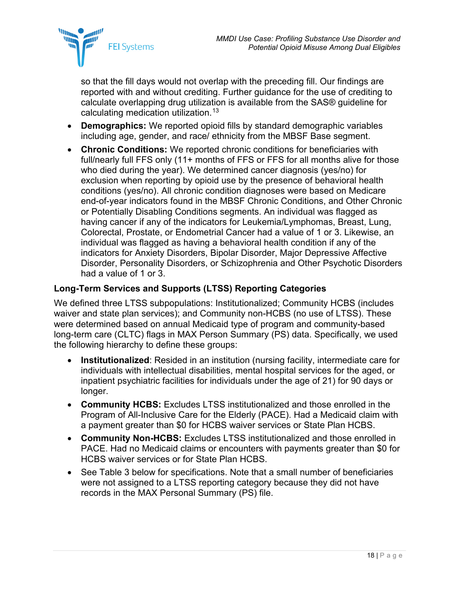

so that the fill days would not overlap with the preceding fill. Our findings are reported with and without crediting. Further guidance for the use of crediting to calculate overlapping drug utilization is available from the SAS® guideline for calculating medication utilization.<sup>[13](#page-23-13)</sup>

- **Demographics:** We reported opioid fills by standard demographic variables including age, gender, and race/ ethnicity from the MBSF Base segment.
- **Chronic Conditions:** We reported chronic conditions for beneficiaries with full/nearly full FFS only (11+ months of FFS or FFS for all months alive for those who died during the year). We determined cancer diagnosis (yes/no) for exclusion when reporting by opioid use by the presence of behavioral health conditions (yes/no). All chronic condition diagnoses were based on Medicare end-of-year indicators found in the MBSF Chronic Conditions, and Other Chronic or Potentially Disabling Conditions segments. An individual was flagged as having cancer if any of the indicators for Leukemia/Lymphomas, Breast, Lung, Colorectal, Prostate, or Endometrial Cancer had a value of 1 or 3. Likewise, an individual was flagged as having a behavioral health condition if any of the indicators for Anxiety Disorders, Bipolar Disorder, Major Depressive Affective Disorder, Personality Disorders, or Schizophrenia and Other Psychotic Disorders had a value of 1 or 3.

#### **Long-Term Services and Supports (LTSS) Reporting Categories**

We defined three LTSS subpopulations: Institutionalized; Community HCBS (includes waiver and state plan services); and Community non-HCBS (no use of LTSS). These were determined based on annual Medicaid type of program and community-based long-term care (CLTC) flags in MAX Person Summary (PS) data. Specifically, we used the following hierarchy to define these groups:

- **Institutionalized:** Resided in an institution (nursing facility, intermediate care for individuals with intellectual disabilities, mental hospital services for the aged, or inpatient psychiatric facilities for individuals under the age of 21) for 90 days or longer.
- **Community HCBS:** Excludes LTSS institutionalized and those enrolled in the Program of All-Inclusive Care for the Elderly (PACE). Had a Medicaid claim with a payment greater than \$0 for HCBS waiver services or State Plan HCBS.
- **Community Non-HCBS:** Excludes LTSS institutionalized and those enrolled in PACE. Had no Medicaid claims or encounters with payments greater than \$0 for HCBS waiver services or for State Plan HCBS.
- See [Table 3](#page-21-0) below for specifications. Note that a small number of beneficiaries were not assigned to a LTSS reporting category because they did not have records in the MAX Personal Summary (PS) file.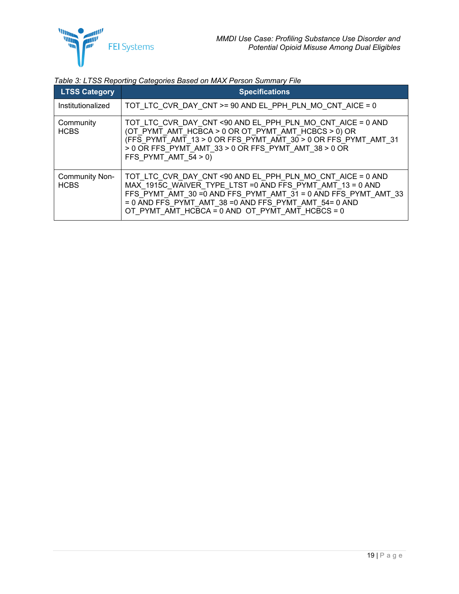

<span id="page-21-0"></span>

| Table 3: LTSS Reporting Categories Based on MAX Person Summary File |  |  |
|---------------------------------------------------------------------|--|--|
|                                                                     |  |  |

| <b>LTSS Category</b>                 | <b>Specifications</b>                                                                                                                                                                                                                                                                                    |
|--------------------------------------|----------------------------------------------------------------------------------------------------------------------------------------------------------------------------------------------------------------------------------------------------------------------------------------------------------|
| Institutionalized                    | TOT LTC CVR DAY CNT $>= 90$ AND EL PPH PLN MO CNT AICE = 0                                                                                                                                                                                                                                               |
| Community<br><b>HCBS</b>             | TOT LTC CVR DAY CNT <90 AND EL PPH PLN MO CNT AICE = 0 AND<br>(OT PYMT AMT HCBCA > 0 OR OT PYMT AMT HCBCS > 0) OR<br>(FFS_PYMT_AMT_13 > 0 OR FFS_PYMT_AMT_30 > 0 OR FFS_PYMT_AMT_31<br>> 0 OR FFS PYMT AMT 33 > 0 OR FFS PYMT AMT 38 > 0 OR<br>FFS PYMT AMT $54 > 0$ )                                   |
| <b>Community Non-</b><br><b>HCBS</b> | TOT LTC CVR DAY CNT <90 AND EL PPH PLN MO CNT AICE = 0 AND<br>MAX 1915C WAIVER TYPE LTST = 0 AND FFS PYMT AMT 13 = 0 AND<br>FFS PYMT AMT 30 = 0 AND FFS PYMT AMT 31 = 0 AND FFS PYMT AMT 33<br>= 0 AND FFS PYMT AMT 38 = 0 AND FFS PYMT AMT 54= 0 AND<br>OT PYMT AMT HCBCA = 0 AND OT PYMT AMT HCBCS = 0 |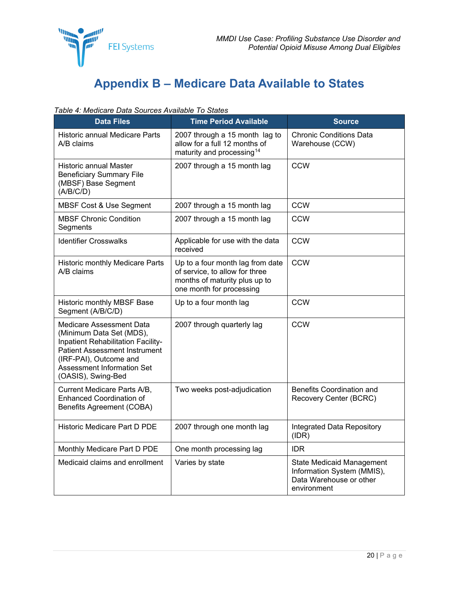

# **Appendix B – Medicare Data Available to States**

<span id="page-22-1"></span><span id="page-22-0"></span>*Table 4: Medicare Data Sources Available To States*

| <b>Data Files</b>                                                                                                                                                                                                | <b>Time Period Available</b>                                                                                                    | <b>Source</b>                                                                                            |
|------------------------------------------------------------------------------------------------------------------------------------------------------------------------------------------------------------------|---------------------------------------------------------------------------------------------------------------------------------|----------------------------------------------------------------------------------------------------------|
| <b>Historic annual Medicare Parts</b><br>A/B claims                                                                                                                                                              | 2007 through a 15 month lag to<br>allow for a full 12 months of<br>maturity and processing <sup>14</sup>                        | <b>Chronic Conditions Data</b><br>Warehouse (CCW)                                                        |
| Historic annual Master<br><b>Beneficiary Summary File</b><br>(MBSF) Base Segment<br>(A/B/C/D)                                                                                                                    | 2007 through a 15 month lag                                                                                                     | <b>CCW</b>                                                                                               |
| <b>MBSF Cost &amp; Use Segment</b>                                                                                                                                                                               | 2007 through a 15 month lag                                                                                                     | <b>CCW</b>                                                                                               |
| <b>MBSF Chronic Condition</b><br>Segments                                                                                                                                                                        | 2007 through a 15 month lag                                                                                                     | <b>CCW</b>                                                                                               |
| <b>Identifier Crosswalks</b>                                                                                                                                                                                     | Applicable for use with the data<br>received                                                                                    | <b>CCW</b>                                                                                               |
| Historic monthly Medicare Parts<br>A/B claims                                                                                                                                                                    | Up to a four month lag from date<br>of service, to allow for three<br>months of maturity plus up to<br>one month for processing | <b>CCW</b>                                                                                               |
| Historic monthly MBSF Base<br>Segment (A/B/C/D)                                                                                                                                                                  | Up to a four month lag                                                                                                          | <b>CCW</b>                                                                                               |
| Medicare Assessment Data<br>(Minimum Data Set (MDS),<br>Inpatient Rehabilitation Facility-<br><b>Patient Assessment Instrument</b><br>(IRF-PAI), Outcome and<br>Assessment Information Set<br>(OASIS), Swing-Bed | 2007 through quarterly lag                                                                                                      | CCW                                                                                                      |
| Current Medicare Parts A/B,<br><b>Enhanced Coordination of</b><br><b>Benefits Agreement (COBA)</b>                                                                                                               | Two weeks post-adjudication                                                                                                     | <b>Benefits Coordination and</b><br>Recovery Center (BCRC)                                               |
| Historic Medicare Part D PDE                                                                                                                                                                                     | 2007 through one month lag                                                                                                      | Integrated Data Repository<br>(IDR)                                                                      |
| Monthly Medicare Part D PDE                                                                                                                                                                                      | One month processing lag                                                                                                        | <b>IDR</b>                                                                                               |
| Medicaid claims and enrollment                                                                                                                                                                                   | Varies by state                                                                                                                 | <b>State Medicaid Management</b><br>Information System (MMIS),<br>Data Warehouse or other<br>environment |